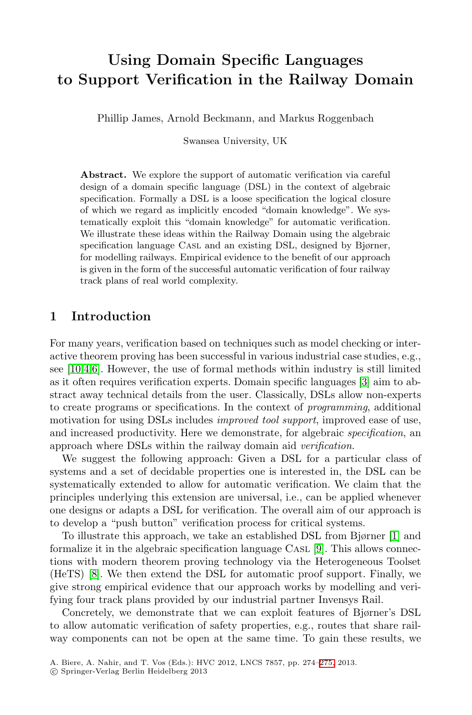## **Using Domain Specific Languages to Support Verification in the Railway Domain**

Phillip James, Arnold Beckmann, and Markus Roggenbach

Swansea University, UK

**Abstract.** We explore the support of automatic verification via careful design of a domain specific language (DSL) in the context of algebraic specification. Formally a DSL is a loose specification the logical closure of which we regard as implicitly encoded "domain knowledge". We systematically exploit this "domain knowledge" for automatic verification. We illustrate these ideas within the Railway Domain using the algebraic specification language CASL and an existing DSL, designed by Bjørner, for modelling railways. Empirical evidence to the benefit of our approach is given in the form of the successful automatic verification of four railway track plans of real world complexity.

## **1 Introduction**

For many years, verification based on techniques such as model checking or interactive theorem proving has been successful in various industrial case studies, e.g., see [10,4,6]. However, the use of formal methods within industry is still limited as it often requires verification experts. Domain specific languages [3] aim to abstract away technical details from the user. Classically, DSLs allow non-experts to create programs or specifications. In the context of *programming*, additional motivation for using DSLs includes *improved tool support*, improved ease of use, and increased productivity. Here we demonstrate, for [alg](#page-1-0)ebraic *specification*, an approach where DSLs within the railw[ay](#page-1-1) domain aid *verification*.

We suggest the following approach: Given a DSL for a particular class of systems and a set of decidable properties one is interested in, the DSL can be systematically extended to allow for automatic verification. We claim that the principles underlying this extension are universal, i.e., can be applied whenever one designs or adapts a DSL for verification. The overall aim of our approach is to develop a "push button" verification process for critical systems.

To illustrate this approach, we take an established DSL from Bjørner [1] and formalize it in the algebraic specification language Casl [9]. This allows connections with modern theorem proving te[chno](#page-1-2)logy via the Heterogeneous Toolset (HeTS) [8]. We then extend the DSL for automatic proof support. Finally, we give strong empirical evidence that our approach works by modelling and verifying four track plans provided by our industrial partner Invensys Rail.

Concretely, we demonstrate that we can exploit features of Bjørner's DSL to allow automatic verification of safety properties, e.g., routes that share railway components can not be open at the same time. To gain these results, we

A. Biere, A. Nahir, and T. Vos (Eds.): HVC 2012, LNCS 7857, pp. 274–275, 2013.

<sup>-</sup>c Springer-Verlag Berlin Heidelberg 2013